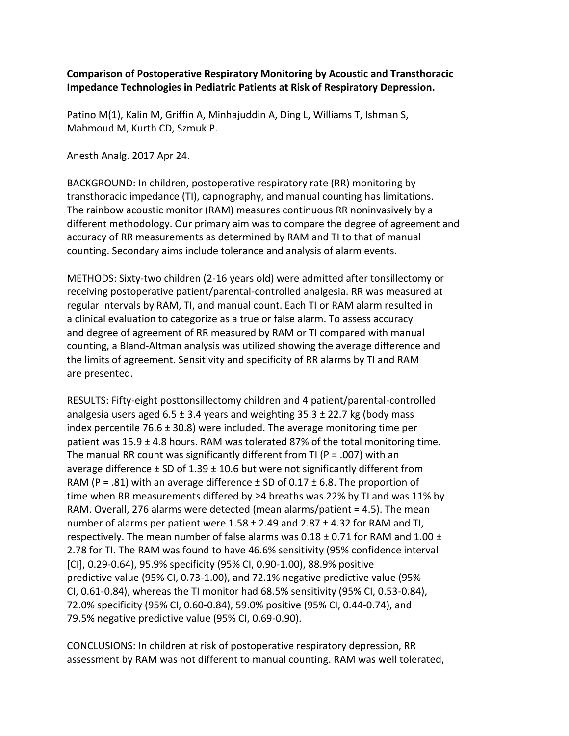## **Comparison of Postoperative Respiratory Monitoring by Acoustic and Transthoracic Impedance Technologies in Pediatric Patients at Risk of Respiratory Depression.**

Patino M(1), Kalin M, Griffin A, Minhajuddin A, Ding L, Williams T, Ishman S, Mahmoud M, Kurth CD, Szmuk P.

Anesth Analg. 2017 Apr 24.

BACKGROUND: In children, postoperative respiratory rate (RR) monitoring by transthoracic impedance (TI), capnography, and manual counting has limitations. The rainbow acoustic monitor (RAM) measures continuous RR noninvasively by a different methodology. Our primary aim was to compare the degree of agreement and accuracy of RR measurements as determined by RAM and TI to that of manual counting. Secondary aims include tolerance and analysis of alarm events.

METHODS: Sixty-two children (2-16 years old) were admitted after tonsillectomy or receiving postoperative patient/parental-controlled analgesia. RR was measured at regular intervals by RAM, TI, and manual count. Each TI or RAM alarm resulted in a clinical evaluation to categorize as a true or false alarm. To assess accuracy and degree of agreement of RR measured by RAM or TI compared with manual counting, a Bland-Altman analysis was utilized showing the average difference and the limits of agreement. Sensitivity and specificity of RR alarms by TI and RAM are presented.

RESULTS: Fifty-eight posttonsillectomy children and 4 patient/parental-controlled analgesia users aged  $6.5 \pm 3.4$  years and weighting 35.3  $\pm$  22.7 kg (body mass index percentile 76.6  $\pm$  30.8) were included. The average monitoring time per patient was  $15.9 \pm 4.8$  hours. RAM was tolerated 87% of the total monitoring time. The manual RR count was significantly different from TI ( $P = .007$ ) with an average difference  $\pm$  SD of 1.39  $\pm$  10.6 but were not significantly different from RAM (P = .81) with an average difference  $\pm$  SD of 0.17  $\pm$  6.8. The proportion of time when RR measurements differed by ≥4 breaths was 22% by TI and was 11% by RAM. Overall, 276 alarms were detected (mean alarms/patient = 4.5). The mean number of alarms per patient were  $1.58 \pm 2.49$  and  $2.87 \pm 4.32$  for RAM and TI, respectively. The mean number of false alarms was  $0.18 \pm 0.71$  for RAM and  $1.00 \pm 1.00$ 2.78 for TI. The RAM was found to have 46.6% sensitivity (95% confidence interval [CI], 0.29-0.64), 95.9% specificity (95% CI, 0.90-1.00), 88.9% positive predictive value (95% CI, 0.73-1.00), and 72.1% negative predictive value (95% CI, 0.61-0.84), whereas the TI monitor had 68.5% sensitivity (95% CI, 0.53-0.84), 72.0% specificity (95% CI, 0.60-0.84), 59.0% positive (95% CI, 0.44-0.74), and 79.5% negative predictive value (95% CI, 0.69-0.90).

CONCLUSIONS: In children at risk of postoperative respiratory depression, RR assessment by RAM was not different to manual counting. RAM was well tolerated,